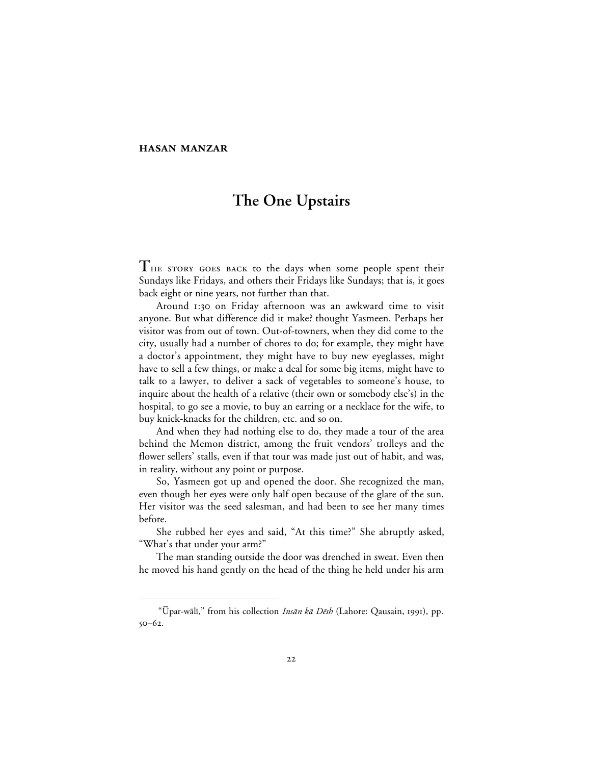## **HASAN MANZAR**

 $\overline{a}$ 

## **The One Upstairs**

THE STORY GOES BACK to the days when some people spent their Sundays like Fridays, and others their Fridays like Sundays; that is, it goes back eight or nine years, not further than that.

Around 1:30 on Friday afternoon was an awkward time to visit anyone. But what difference did it make? thought Yasmeen. Perhaps her visitor was from out of town. Out-of-towners, when they did come to the city, usually had a number of chores to do; for example, they might have a doctor's appointment, they might have to buy new eyeglasses, might have to sell a few things, or make a deal for some big items, might have to talk to a lawyer, to deliver a sack of vegetables to someone's house, to inquire about the health of a relative (their own or somebody else's) in the hospital, to go see a movie, to buy an earring or a necklace for the wife, to buy knick-knacks for the children, etc. and so on.

And when they had nothing else to do, they made a tour of the area behind the Memon district, among the fruit vendors' trolleys and the flower sellers' stalls, even if that tour was made just out of habit, and was, in reality, without any point or purpose.

So, Yasmeen got up and opened the door. She recognized the man, even though her eyes were only half open because of the glare of the sun. Her visitor was the seed salesman, and had been to see her many times before.

She rubbed her eyes and said, "At this time?" She abruptly asked, "What's that under your arm?"

The man standing outside the door was drenched in sweat. Even then he moved his hand gently on the head of the thing he held under his arm

<sup>&</sup>quot;Ūpar-wālī," from his collection Insān kā Dēsh (Lahore: Qausain, 1991), pp.  $50 - 62.$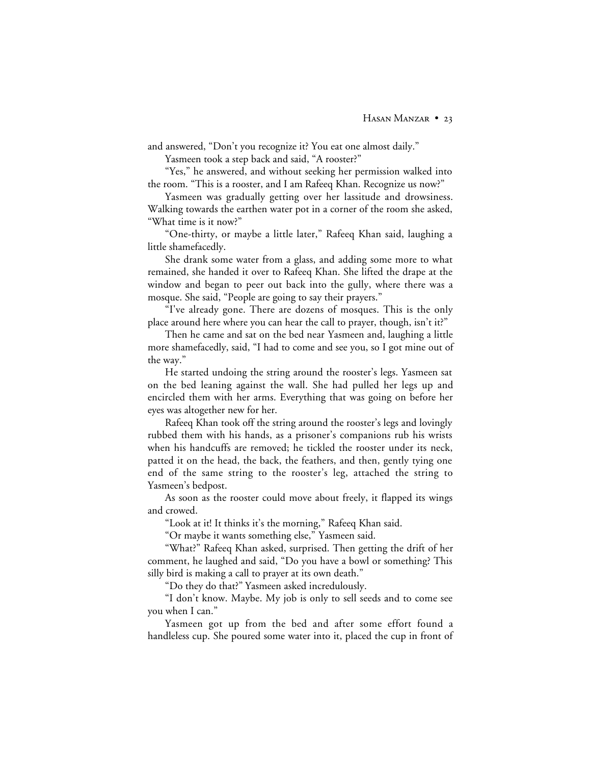and answered, "Don't you recognize it? You eat one almost daily."

Yasmeen took a step back and said, "A rooster?"

"Yes," he answered, and without seeking her permission walked into the room. "This is a rooster, and I am Rafeeq Khan. Recognize us now?"

Yasmeen was gradually getting over her lassitude and drowsiness. Walking towards the earthen water pot in a corner of the room she asked, "What time is it now?"

"One-thirty, or maybe a little later," Rafeeq Khan said, laughing a little shamefacedly.

She drank some water from a glass, and adding some more to what remained, she handed it over to Rafeeq Khan. She lifted the drape at the window and began to peer out back into the gully, where there was a mosque. She said, "People are going to say their prayers."

"I've already gone. There are dozens of mosques. This is the only place around here where you can hear the call to prayer, though, isn't it?"

Then he came and sat on the bed near Yasmeen and, laughing a little more shamefacedly, said, "I had to come and see you, so I got mine out of the way."

He started undoing the string around the rooster's legs. Yasmeen sat on the bed leaning against the wall. She had pulled her legs up and encircled them with her arms. Everything that was going on before her eyes was altogether new for her.

Rafeeq Khan took off the string around the rooster's legs and lovingly rubbed them with his hands, as a prisoner's companions rub his wrists when his handcuffs are removed; he tickled the rooster under its neck, patted it on the head, the back, the feathers, and then, gently tying one end of the same string to the rooster's leg, attached the string to Yasmeen's bedpost.

As soon as the rooster could move about freely, it flapped its wings and crowed.

"Look at it! It thinks it's the morning," Rafeeq Khan said.

"Or maybe it wants something else," Yasmeen said.

"What?" Rafeeq Khan asked, surprised. Then getting the drift of her comment, he laughed and said, "Do you have a bowl or something? This silly bird is making a call to prayer at its own death."

"Do they do that?" Yasmeen asked incredulously.

"I don't know. Maybe. My job is only to sell seeds and to come see you when I can."

Yasmeen got up from the bed and after some effort found a handleless cup. She poured some water into it, placed the cup in front of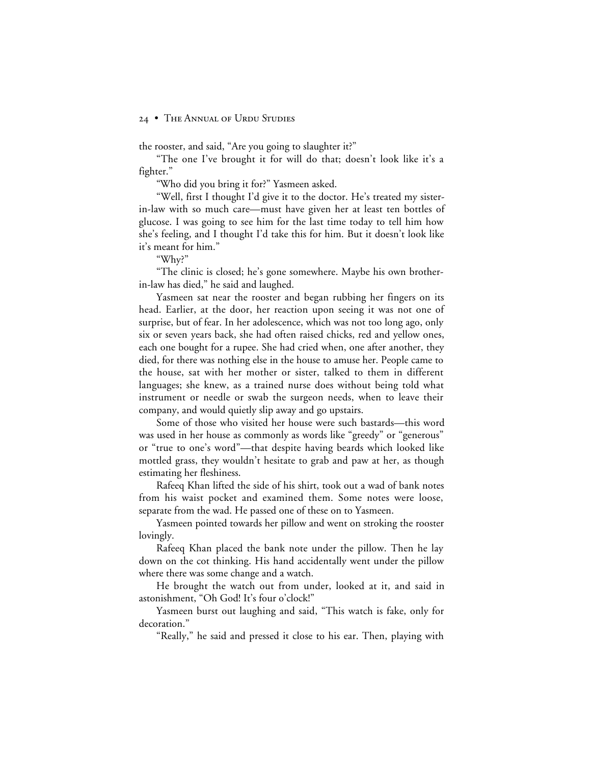the rooster, and said, "Are you going to slaughter it?"

"The one I've brought it for will do that; doesn't look like it's a fighter."

"Who did you bring it for?" Yasmeen asked.

"Well, first I thought I'd give it to the doctor. He's treated my sisterin-law with so much care—must have given her at least ten bottles of glucose. I was going to see him for the last time today to tell him how she's feeling, and I thought I'd take this for him. But it doesn't look like it's meant for him."

"Why?"

"The clinic is closed; he's gone somewhere. Maybe his own brotherin-law has died," he said and laughed.

Yasmeen sat near the rooster and began rubbing her fingers on its head. Earlier, at the door, her reaction upon seeing it was not one of surprise, but of fear. In her adolescence, which was not too long ago, only six or seven years back, she had often raised chicks, red and yellow ones, each one bought for a rupee. She had cried when, one after another, they died, for there was nothing else in the house to amuse her. People came to the house, sat with her mother or sister, talked to them in different languages; she knew, as a trained nurse does without being told what instrument or needle or swab the surgeon needs, when to leave their company, and would quietly slip away and go upstairs.

Some of those who visited her house were such bastards—this word was used in her house as commonly as words like "greedy" or "generous" or "true to one's word"—that despite having beards which looked like mottled grass, they wouldn't hesitate to grab and paw at her, as though estimating her fleshiness.

Rafeeq Khan lifted the side of his shirt, took out a wad of bank notes from his waist pocket and examined them. Some notes were loose, separate from the wad. He passed one of these on to Yasmeen.

Yasmeen pointed towards her pillow and went on stroking the rooster lovingly.

Rafeeq Khan placed the bank note under the pillow. Then he lay down on the cot thinking. His hand accidentally went under the pillow where there was some change and a watch.

He brought the watch out from under, looked at it, and said in astonishment, "Oh God! It's four o'clock!"

Yasmeen burst out laughing and said, "This watch is fake, only for decoration."

"Really," he said and pressed it close to his ear. Then, playing with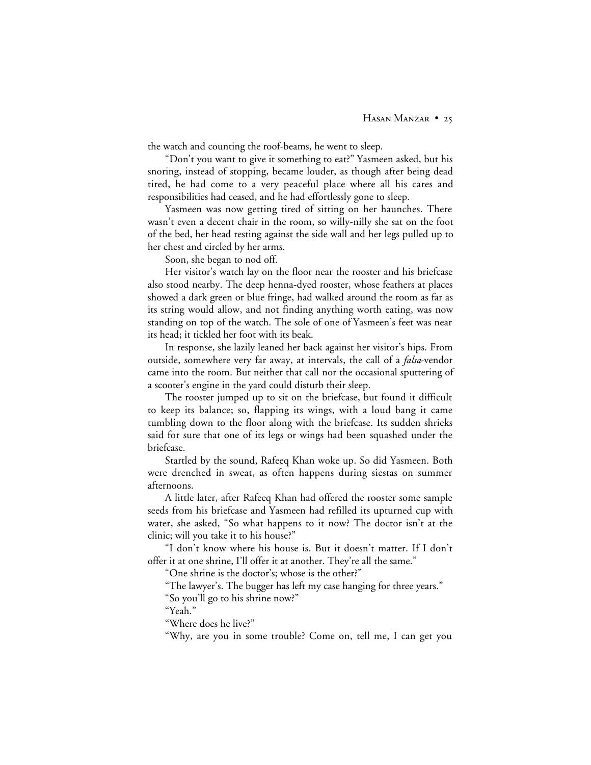the watch and counting the roof-beams, he went to sleep.

"Don't you want to give it something to eat?" Yasmeen asked, but his snoring, instead of stopping, became louder, as though after being dead tired, he had come to a very peaceful place where all his cares and responsibilities had ceased, and he had effortlessly gone to sleep.

Yasmeen was now getting tired of sitting on her haunches. There wasn't even a decent chair in the room, so willy-nilly she sat on the foot of the bed, her head resting against the side wall and her legs pulled up to her chest and circled by her arms.

Soon, she began to nod off.

Her visitor's watch lay on the floor near the rooster and his briefcase also stood nearby. The deep henna-dyed rooster, whose feathers at places showed a dark green or blue fringe, had walked around the room as far as its string would allow, and not finding anything worth eating, was now standing on top of the watch. The sole of one of Yasmeen's feet was near its head; it tickled her foot with its beak.

In response, she lazily leaned her back against her visitor's hips. From outside, somewhere very far away, at intervals, the call of a *falsa*-vendor came into the room. But neither that call nor the occasional sputtering of a scooter's engine in the yard could disturb their sleep.

The rooster jumped up to sit on the briefcase, but found it difficult to keep its balance; so, flapping its wings, with a loud bang it came tumbling down to the floor along with the briefcase. Its sudden shrieks said for sure that one of its legs or wings had been squashed under the briefcase.

Startled by the sound, Rafeeq Khan woke up. So did Yasmeen. Both were drenched in sweat, as often happens during siestas on summer afternoons.

A little later, after Rafeeq Khan had offered the rooster some sample seeds from his briefcase and Yasmeen had refilled its upturned cup with water, she asked, "So what happens to it now? The doctor isn't at the clinic; will you take it to his house?"

"I don't know where his house is. But it doesn't matter. If I don't offer it at one shrine, I'll offer it at another. They're all the same."

"One shrine is the doctor's; whose is the other?"

"The lawyer's. The bugger has left my case hanging for three years."

"So you'll go to his shrine now?"

"Yeah."

"Where does he live?"

"Why, are you in some trouble? Come on, tell me, I can get you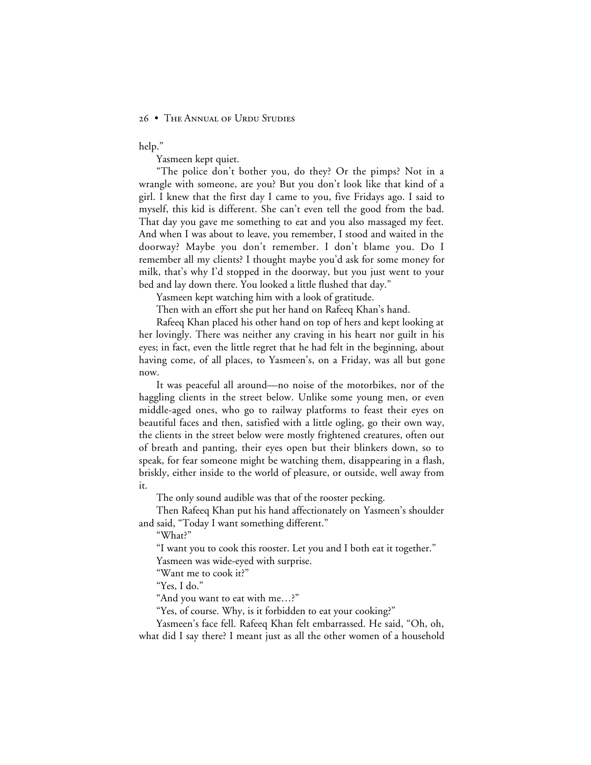help."

Yasmeen kept quiet.

"The police don't bother you, do they? Or the pimps? Not in a wrangle with someone, are you? But you don't look like that kind of a girl. I knew that the first day I came to you, five Fridays ago. I said to myself, this kid is different. She can't even tell the good from the bad. That day you gave me something to eat and you also massaged my feet. And when I was about to leave, you remember, I stood and waited in the doorway? Maybe you don't remember. I don't blame you. Do I remember all my clients? I thought maybe you'd ask for some money for milk, that's why I'd stopped in the doorway, but you just went to your bed and lay down there. You looked a little flushed that day."

Yasmeen kept watching him with a look of gratitude.

Then with an effort she put her hand on Rafeeq Khan's hand.

Rafeeq Khan placed his other hand on top of hers and kept looking at her lovingly. There was neither any craving in his heart nor guilt in his eyes; in fact, even the little regret that he had felt in the beginning, about having come, of all places, to Yasmeen's, on a Friday, was all but gone now.

It was peaceful all around—no noise of the motorbikes, nor of the haggling clients in the street below. Unlike some young men, or even middle-aged ones, who go to railway platforms to feast their eyes on beautiful faces and then, satisfied with a little ogling, go their own way, the clients in the street below were mostly frightened creatures, often out of breath and panting, their eyes open but their blinkers down, so to speak, for fear someone might be watching them, disappearing in a flash, briskly, either inside to the world of pleasure, or outside, well away from it.

The only sound audible was that of the rooster pecking.

Then Rafeeq Khan put his hand affectionately on Yasmeen's shoulder and said, "Today I want something different."

"What?"

"I want you to cook this rooster. Let you and I both eat it together." Yasmeen was wide-eyed with surprise.

"Want me to cook it?"

"Yes, I do."

"And you want to eat with me…?"

"Yes, of course. Why, is it forbidden to eat your cooking?"

Yasmeen's face fell. Rafeeq Khan felt embarrassed. He said, "Oh, oh, what did I say there? I meant just as all the other women of a household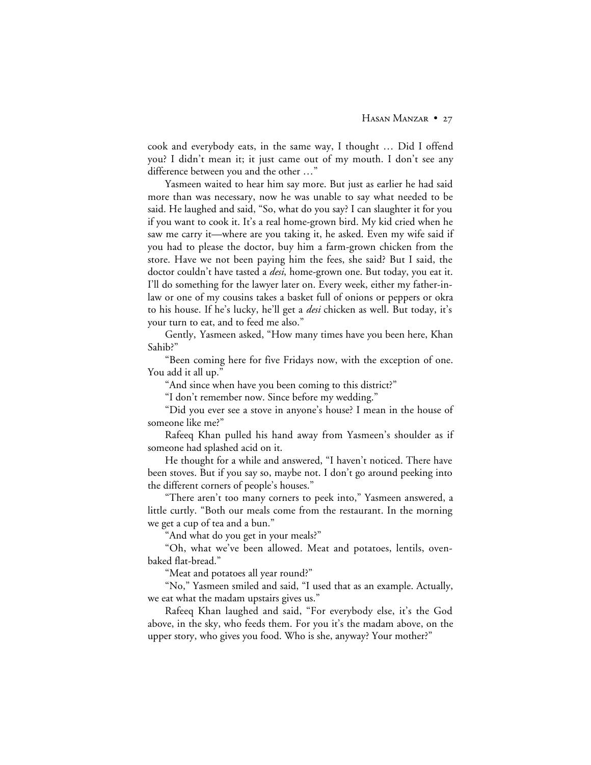cook and everybody eats, in the same way, I thought … Did I offend you? I didn't mean it; it just came out of my mouth. I don't see any difference between you and the other …"

Yasmeen waited to hear him say more. But just as earlier he had said more than was necessary, now he was unable to say what needed to be said. He laughed and said, "So, what do you say? I can slaughter it for you if you want to cook it. It's a real home-grown bird. My kid cried when he saw me carry it—where are you taking it, he asked. Even my wife said if you had to please the doctor, buy him a farm-grown chicken from the store. Have we not been paying him the fees, she said? But I said, the doctor couldn't have tasted a *desi*, home-grown one. But today, you eat it. I'll do something for the lawyer later on. Every week, either my father-inlaw or one of my cousins takes a basket full of onions or peppers or okra to his house. If he's lucky, he'll get a *desi* chicken as well. But today, it's your turn to eat, and to feed me also."

Gently, Yasmeen asked, "How many times have you been here, Khan Sahib?"

"Been coming here for five Fridays now, with the exception of one. You add it all up."

"And since when have you been coming to this district?"

"I don't remember now. Since before my wedding."

"Did you ever see a stove in anyone's house? I mean in the house of someone like me?"

Rafeeq Khan pulled his hand away from Yasmeen's shoulder as if someone had splashed acid on it.

He thought for a while and answered, "I haven't noticed. There have been stoves. But if you say so, maybe not. I don't go around peeking into the different corners of people's houses."

"There aren't too many corners to peek into," Yasmeen answered, a little curtly. "Both our meals come from the restaurant. In the morning we get a cup of tea and a bun."

"And what do you get in your meals?"

"Oh, what we've been allowed. Meat and potatoes, lentils, ovenbaked flat-bread."

"Meat and potatoes all year round?"

"No," Yasmeen smiled and said, "I used that as an example. Actually, we eat what the madam upstairs gives us."

Rafeeq Khan laughed and said, "For everybody else, it's the God above, in the sky, who feeds them. For you it's the madam above, on the upper story, who gives you food. Who is she, anyway? Your mother?"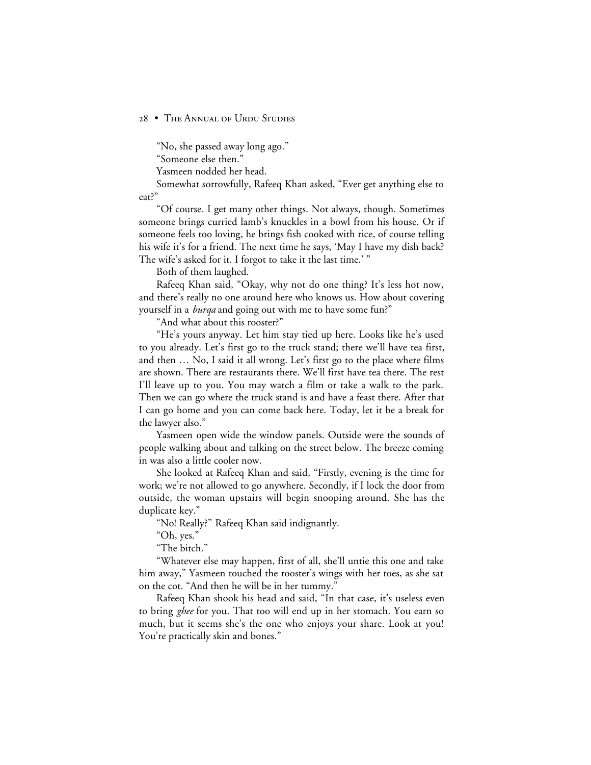"No, she passed away long ago."

"Someone else then."

Yasmeen nodded her head.

Somewhat sorrowfully, Rafeeq Khan asked, "Ever get anything else to eat?"

"Of course. I get many other things. Not always, though. Sometimes someone brings curried lamb's knuckles in a bowl from his house. Or if someone feels too loving, he brings fish cooked with rice, of course telling his wife it's for a friend. The next time he says, 'May I have my dish back? The wife's asked for it. I forgot to take it the last time.' "

Both of them laughed.

Rafeeq Khan said, "Okay, why not do one thing? It's less hot now, and there's really no one around here who knows us. How about covering yourself in a *burqa* and going out with me to have some fun?"

"And what about this rooster?"

"He's yours anyway. Let him stay tied up here. Looks like he's used to you already. Let's first go to the truck stand; there we'll have tea first, and then … No, I said it all wrong. Let's first go to the place where films are shown. There are restaurants there. We'll first have tea there. The rest I'll leave up to you. You may watch a film or take a walk to the park. Then we can go where the truck stand is and have a feast there. After that I can go home and you can come back here. Today, let it be a break for the lawyer also."

Yasmeen open wide the window panels. Outside were the sounds of people walking about and talking on the street below. The breeze coming in was also a little cooler now.

She looked at Rafeeq Khan and said, "Firstly, evening is the time for work; we're not allowed to go anywhere. Secondly, if I lock the door from outside, the woman upstairs will begin snooping around. She has the duplicate key."

"No! Really?" Rafeeq Khan said indignantly.

"Oh, yes."

"The bitch."

"Whatever else may happen, first of all, she'll untie this one and take him away," Yasmeen touched the rooster's wings with her toes, as she sat on the cot. "And then he will be in her tummy."

Rafeeq Khan shook his head and said, "In that case, it's useless even to bring *ghee* for you. That too will end up in her stomach. You earn so much, but it seems she's the one who enjoys your share. Look at you! You're practically skin and bones."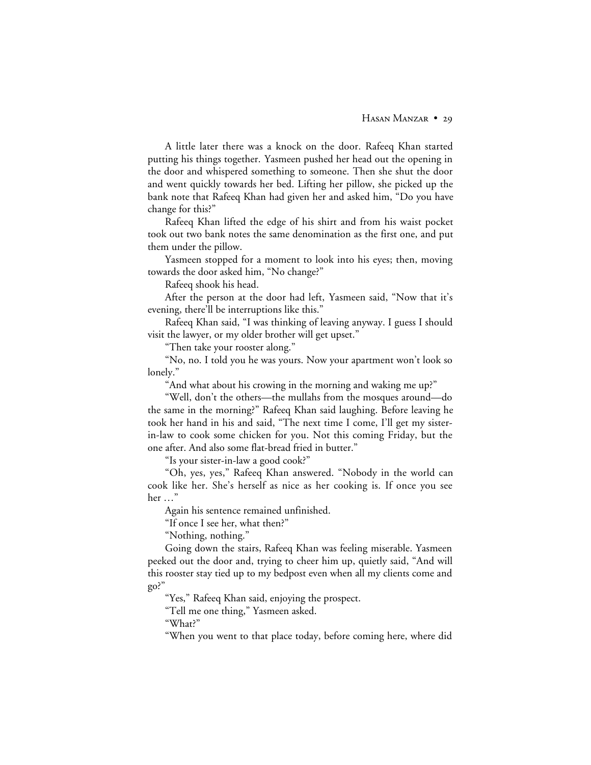A little later there was a knock on the door. Rafeeq Khan started putting his things together. Yasmeen pushed her head out the opening in the door and whispered something to someone. Then she shut the door and went quickly towards her bed. Lifting her pillow, she picked up the bank note that Rafeeq Khan had given her and asked him, "Do you have change for this?"

Rafeeq Khan lifted the edge of his shirt and from his waist pocket took out two bank notes the same denomination as the first one, and put them under the pillow.

Yasmeen stopped for a moment to look into his eyes; then, moving towards the door asked him, "No change?"

Rafeeq shook his head.

After the person at the door had left, Yasmeen said, "Now that it's evening, there'll be interruptions like this."

Rafeeq Khan said, "I was thinking of leaving anyway. I guess I should visit the lawyer, or my older brother will get upset."

"Then take your rooster along."

"No, no. I told you he was yours. Now your apartment won't look so lonely.'

"And what about his crowing in the morning and waking me up?"

"Well, don't the others—the mullahs from the mosques around—do the same in the morning?" Rafeeq Khan said laughing. Before leaving he took her hand in his and said, "The next time I come, I'll get my sisterin-law to cook some chicken for you. Not this coming Friday, but the one after. And also some flat-bread fried in butter."

"Is your sister-in-law a good cook?"

"Oh, yes, yes," Rafeeq Khan answered. "Nobody in the world can cook like her. She's herself as nice as her cooking is. If once you see her …"

Again his sentence remained unfinished.

"If once I see her, what then?"

"Nothing, nothing."

Going down the stairs, Rafeeq Khan was feeling miserable. Yasmeen peeked out the door and, trying to cheer him up, quietly said, "And will this rooster stay tied up to my bedpost even when all my clients come and go?"

"Yes," Rafeeq Khan said, enjoying the prospect.

"Tell me one thing," Yasmeen asked.

"What?"

"When you went to that place today, before coming here, where did